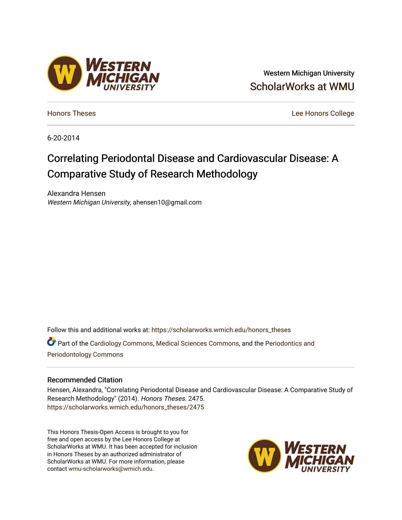### Western Michigan University [ScholarWorks at WMU](https://scholarworks.wmich.edu/)

[Honors Theses](https://scholarworks.wmich.edu/honors_theses) [Lee Honors College](https://scholarworks.wmich.edu/honors) 

6-20-2014

# Correlating Periodontal Disease and Cardiovascular Disease: A Comparative Study of Research Methodology

Alexandra Hensen Western Michigan University, ahensen10@gmail.com

Follow this and additional works at: [https://scholarworks.wmich.edu/honors\\_theses](https://scholarworks.wmich.edu/honors_theses?utm_source=scholarworks.wmich.edu%2Fhonors_theses%2F2475&utm_medium=PDF&utm_campaign=PDFCoverPages)

Part of the [Cardiology Commons](http://network.bepress.com/hgg/discipline/683?utm_source=scholarworks.wmich.edu%2Fhonors_theses%2F2475&utm_medium=PDF&utm_campaign=PDFCoverPages), [Medical Sciences Commons](http://network.bepress.com/hgg/discipline/664?utm_source=scholarworks.wmich.edu%2Fhonors_theses%2F2475&utm_medium=PDF&utm_campaign=PDFCoverPages), and the [Periodontics and](http://network.bepress.com/hgg/discipline/659?utm_source=scholarworks.wmich.edu%2Fhonors_theses%2F2475&utm_medium=PDF&utm_campaign=PDFCoverPages) [Periodontology Commons](http://network.bepress.com/hgg/discipline/659?utm_source=scholarworks.wmich.edu%2Fhonors_theses%2F2475&utm_medium=PDF&utm_campaign=PDFCoverPages) 

#### Recommended Citation

Hensen, Alexandra, "Correlating Periodontal Disease and Cardiovascular Disease: A Comparative Study of Research Methodology" (2014). Honors Theses. 2475. [https://scholarworks.wmich.edu/honors\\_theses/2475](https://scholarworks.wmich.edu/honors_theses/2475?utm_source=scholarworks.wmich.edu%2Fhonors_theses%2F2475&utm_medium=PDF&utm_campaign=PDFCoverPages) 

This Honors Thesis-Open Access is brought to you for free and open access by the Lee Honors College at ScholarWorks at WMU. It has been accepted for inclusion in Honors Theses by an authorized administrator of ScholarWorks at WMU. For more information, please contact [wmu-scholarworks@wmich.edu](mailto:wmu-scholarworks@wmich.edu).



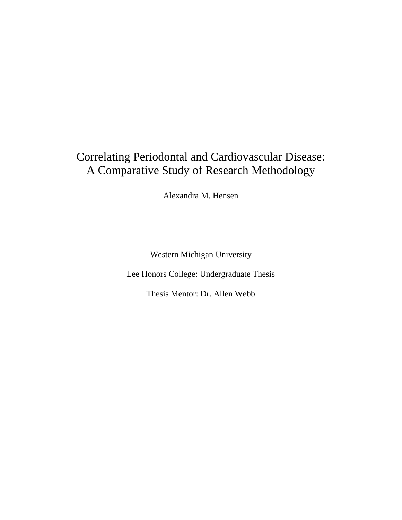# Correlating Periodontal and Cardiovascular Disease: A Comparative Study of Research Methodology

Alexandra M. Hensen

Western Michigan University

Lee Honors College: Undergraduate Thesis

Thesis Mentor: Dr. Allen Webb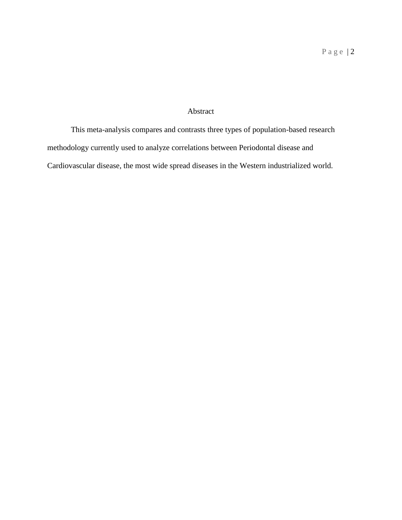### Abstract

This meta-analysis compares and contrasts three types of population-based research methodology currently used to analyze correlations between Periodontal disease and Cardiovascular disease, the most wide spread diseases in the Western industrialized world.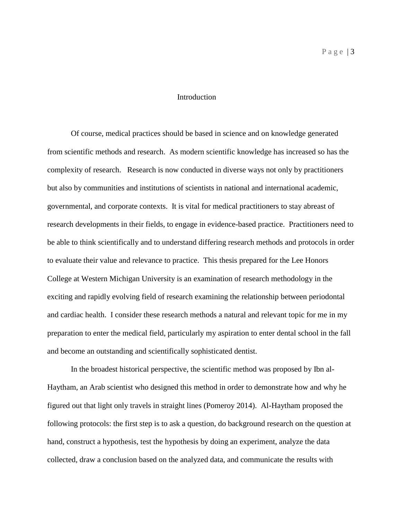### Introduction

Of course, medical practices should be based in science and on knowledge generated from scientific methods and research. As modern scientific knowledge has increased so has the complexity of research. Research is now conducted in diverse ways not only by practitioners but also by communities and institutions of scientists in national and international academic, governmental, and corporate contexts. It is vital for medical practitioners to stay abreast of research developments in their fields, to engage in evidence-based practice. Practitioners need to be able to think scientifically and to understand differing research methods and protocols in order to evaluate their value and relevance to practice. This thesis prepared for the Lee Honors College at Western Michigan University is an examination of research methodology in the exciting and rapidly evolving field of research examining the relationship between periodontal and cardiac health. I consider these research methods a natural and relevant topic for me in my preparation to enter the medical field, particularly my aspiration to enter dental school in the fall and become an outstanding and scientifically sophisticated dentist.

In the broadest historical perspective, the scientific method was proposed by Ibn al-Haytham, an Arab scientist who designed this method in order to demonstrate how and why he figured out that light only travels in straight lines (Pomeroy 2014). Al-Haytham proposed the following protocols: the first step is to ask a question, do background research on the question at hand, construct a hypothesis, test the hypothesis by doing an experiment, analyze the data collected, draw a conclusion based on the analyzed data, and communicate the results with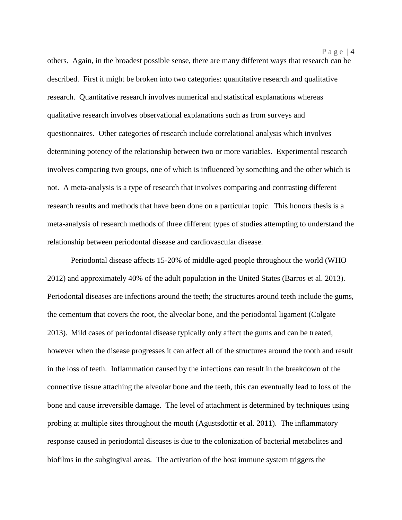others. Again, in the broadest possible sense, there are many different ways that research can be described. First it might be broken into two categories: quantitative research and qualitative research. Quantitative research involves numerical and statistical explanations whereas qualitative research involves observational explanations such as from surveys and questionnaires. Other categories of research include correlational analysis which involves determining potency of the relationship between two or more variables. Experimental research involves comparing two groups, one of which is influenced by something and the other which is not. A meta-analysis is a type of research that involves comparing and contrasting different research results and methods that have been done on a particular topic. This honors thesis is a meta-analysis of research methods of three different types of studies attempting to understand the relationship between periodontal disease and cardiovascular disease.

Periodontal disease affects 15-20% of middle-aged people throughout the world (WHO 2012) and approximately 40% of the adult population in the United States (Barros et al. 2013). Periodontal diseases are infections around the teeth; the structures around teeth include the gums, the cementum that covers the root, the alveolar bone, and the periodontal ligament (Colgate 2013). Mild cases of periodontal disease typically only affect the gums and can be treated, however when the disease progresses it can affect all of the structures around the tooth and result in the loss of teeth. Inflammation caused by the infections can result in the breakdown of the connective tissue attaching the alveolar bone and the teeth, this can eventually lead to loss of the bone and cause irreversible damage. The level of attachment is determined by techniques using probing at multiple sites throughout the mouth (Agustsdottir et al. 2011). The inflammatory response caused in periodontal diseases is due to the colonization of bacterial metabolites and biofilms in the subgingival areas. The activation of the host immune system triggers the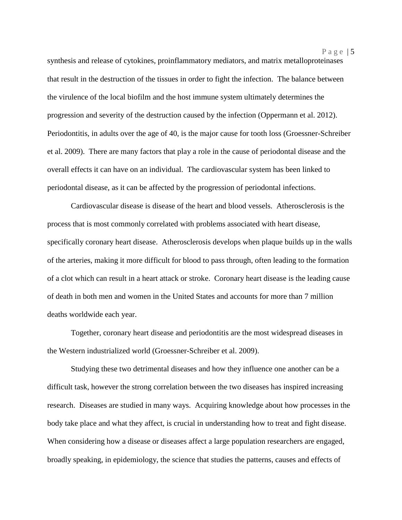synthesis and release of cytokines, proinflammatory mediators, and matrix metalloproteinases that result in the destruction of the tissues in order to fight the infection. The balance between the virulence of the local biofilm and the host immune system ultimately determines the progression and severity of the destruction caused by the infection (Oppermann et al. 2012). Periodontitis, in adults over the age of 40, is the major cause for tooth loss (Groessner-Schreiber et al. 2009). There are many factors that play a role in the cause of periodontal disease and the overall effects it can have on an individual. The cardiovascular system has been linked to periodontal disease, as it can be affected by the progression of periodontal infections.

Cardiovascular disease is disease of the heart and blood vessels. Atherosclerosis is the process that is most commonly correlated with problems associated with heart disease, specifically coronary heart disease. Atherosclerosis develops when plaque builds up in the walls of the arteries, making it more difficult for blood to pass through, often leading to the formation of a clot which can result in a heart attack or stroke. Coronary heart disease is the leading cause of death in both men and women in the United States and accounts for more than 7 million deaths worldwide each year.

Together, coronary heart disease and periodontitis are the most widespread diseases in the Western industrialized world (Groessner-Schreiber et al. 2009).

Studying these two detrimental diseases and how they influence one another can be a difficult task, however the strong correlation between the two diseases has inspired increasing research. Diseases are studied in many ways. Acquiring knowledge about how processes in the body take place and what they affect, is crucial in understanding how to treat and fight disease. When considering how a disease or diseases affect a large population researchers are engaged, broadly speaking, in epidemiology, the science that studies the patterns, causes and effects of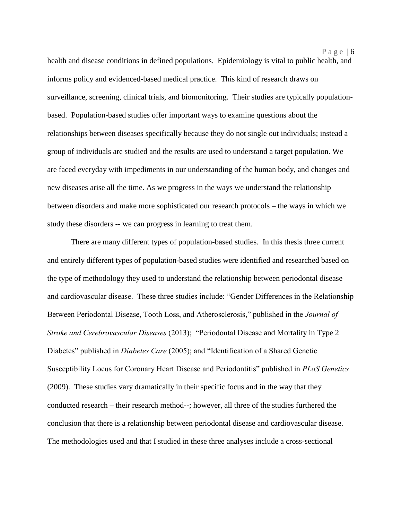Page  $|6$ 

health and disease conditions in defined populations. Epidemiology is vital to public health, and informs policy and evidenced-based medical practice. This kind of research draws on surveillance, screening, clinical trials, and biomonitoring. Their studies are typically populationbased. Population-based studies offer important ways to examine questions about the relationships between diseases specifically because they do not single out individuals; instead a group of individuals are studied and the results are used to understand a target population. We are faced everyday with impediments in our understanding of the human body, and changes and new diseases arise all the time. As we progress in the ways we understand the relationship between disorders and make more sophisticated our research protocols – the ways in which we study these disorders -- we can progress in learning to treat them.

There are many different types of population-based studies. In this thesis three current and entirely different types of population-based studies were identified and researched based on the type of methodology they used to understand the relationship between periodontal disease and cardiovascular disease. These three studies include: "Gender Differences in the Relationship Between Periodontal Disease, Tooth Loss, and Atherosclerosis," published in the *Journal of Stroke and Cerebrovascular Diseases* (2013); "Periodontal Disease and Mortality in Type 2 Diabetes" published in *Diabetes Care* (2005); and "Identification of a Shared Genetic Susceptibility Locus for Coronary Heart Disease and Periodontitis" published in *PLoS Genetics* (2009). These studies vary dramatically in their specific focus and in the way that they conducted research – their research method--; however, all three of the studies furthered the conclusion that there is a relationship between periodontal disease and cardiovascular disease. The methodologies used and that I studied in these three analyses include a cross-sectional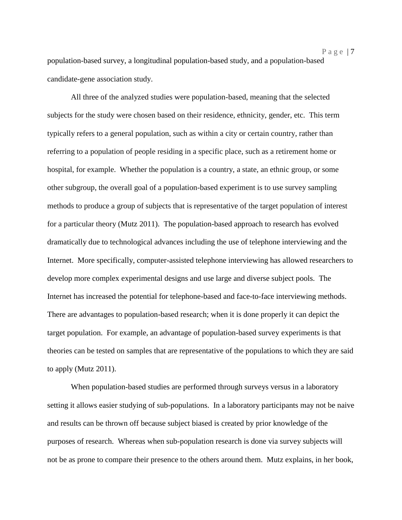population-based survey, a longitudinal population-based study, and a population-based candidate-gene association study.

All three of the analyzed studies were population-based, meaning that the selected subjects for the study were chosen based on their residence, ethnicity, gender, etc. This term typically refers to a general population, such as within a city or certain country, rather than referring to a population of people residing in a specific place, such as a retirement home or hospital, for example. Whether the population is a country, a state, an ethnic group, or some other subgroup, the overall goal of a population-based experiment is to use survey sampling methods to produce a group of subjects that is representative of the target population of interest for a particular theory (Mutz 2011). The population-based approach to research has evolved dramatically due to technological advances including the use of telephone interviewing and the Internet. More specifically, computer-assisted telephone interviewing has allowed researchers to develop more complex experimental designs and use large and diverse subject pools. The Internet has increased the potential for telephone-based and face-to-face interviewing methods. There are advantages to population-based research; when it is done properly it can depict the target population. For example, an advantage of population-based survey experiments is that theories can be tested on samples that are representative of the populations to which they are said to apply (Mutz 2011).

When population-based studies are performed through surveys versus in a laboratory setting it allows easier studying of sub-populations. In a laboratory participants may not be naive and results can be thrown off because subject biased is created by prior knowledge of the purposes of research. Whereas when sub-population research is done via survey subjects will not be as prone to compare their presence to the others around them. Mutz explains, in her book,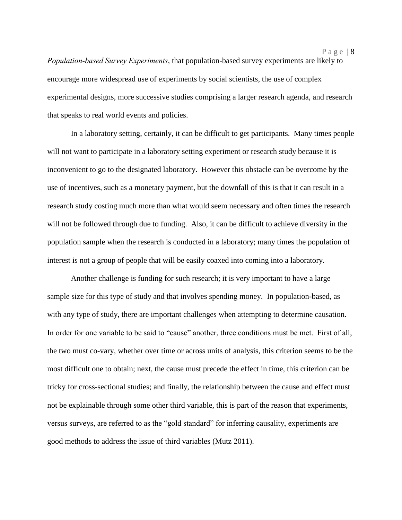*Population-based Survey Experiments*, that population-based survey experiments are likely to encourage more widespread use of experiments by social scientists, the use of complex experimental designs, more successive studies comprising a larger research agenda, and research that speaks to real world events and policies.

In a laboratory setting, certainly, it can be difficult to get participants. Many times people will not want to participate in a laboratory setting experiment or research study because it is inconvenient to go to the designated laboratory. However this obstacle can be overcome by the use of incentives, such as a monetary payment, but the downfall of this is that it can result in a research study costing much more than what would seem necessary and often times the research will not be followed through due to funding. Also, it can be difficult to achieve diversity in the population sample when the research is conducted in a laboratory; many times the population of interest is not a group of people that will be easily coaxed into coming into a laboratory.

Another challenge is funding for such research; it is very important to have a large sample size for this type of study and that involves spending money. In population-based, as with any type of study, there are important challenges when attempting to determine causation. In order for one variable to be said to "cause" another, three conditions must be met. First of all, the two must co-vary, whether over time or across units of analysis, this criterion seems to be the most difficult one to obtain; next, the cause must precede the effect in time, this criterion can be tricky for cross-sectional studies; and finally, the relationship between the cause and effect must not be explainable through some other third variable, this is part of the reason that experiments, versus surveys, are referred to as the "gold standard" for inferring causality, experiments are good methods to address the issue of third variables (Mutz 2011).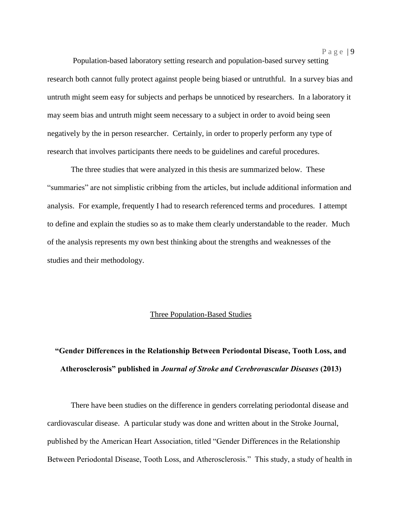Population-based laboratory setting research and population-based survey setting research both cannot fully protect against people being biased or untruthful. In a survey bias and untruth might seem easy for subjects and perhaps be unnoticed by researchers. In a laboratory it may seem bias and untruth might seem necessary to a subject in order to avoid being seen negatively by the in person researcher. Certainly, in order to properly perform any type of research that involves participants there needs to be guidelines and careful procedures.

The three studies that were analyzed in this thesis are summarized below. These "summaries" are not simplistic cribbing from the articles, but include additional information and analysis. For example, frequently I had to research referenced terms and procedures. I attempt to define and explain the studies so as to make them clearly understandable to the reader. Much of the analysis represents my own best thinking about the strengths and weaknesses of the studies and their methodology.

#### Three Population-Based Studies

## **"Gender Differences in the Relationship Between Periodontal Disease, Tooth Loss, and Atherosclerosis" published in** *Journal of Stroke and Cerebrovascular Diseases* **(2013)**

There have been studies on the difference in genders correlating periodontal disease and cardiovascular disease. A particular study was done and written about in the Stroke Journal, published by the American Heart Association, titled "Gender Differences in the Relationship Between Periodontal Disease, Tooth Loss, and Atherosclerosis." This study, a study of health in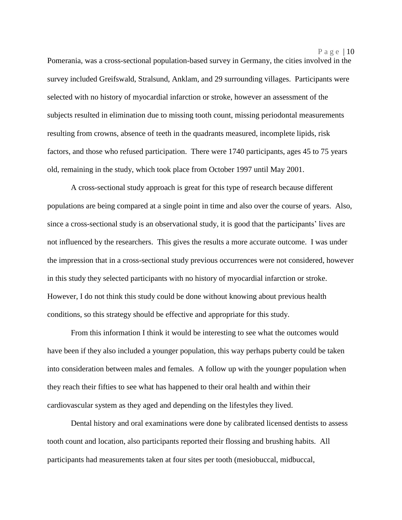Pomerania, was a cross-sectional population-based survey in Germany, the cities involved in the survey included Greifswald, Stralsund, Anklam, and 29 surrounding villages. Participants were selected with no history of myocardial infarction or stroke, however an assessment of the subjects resulted in elimination due to missing tooth count, missing periodontal measurements resulting from crowns, absence of teeth in the quadrants measured, incomplete lipids, risk factors, and those who refused participation. There were 1740 participants, ages 45 to 75 years old, remaining in the study, which took place from October 1997 until May 2001.

A cross-sectional study approach is great for this type of research because different populations are being compared at a single point in time and also over the course of years. Also, since a cross-sectional study is an observational study, it is good that the participants' lives are not influenced by the researchers. This gives the results a more accurate outcome. I was under the impression that in a cross-sectional study previous occurrences were not considered, however in this study they selected participants with no history of myocardial infarction or stroke. However, I do not think this study could be done without knowing about previous health conditions, so this strategy should be effective and appropriate for this study.

From this information I think it would be interesting to see what the outcomes would have been if they also included a younger population, this way perhaps puberty could be taken into consideration between males and females. A follow up with the younger population when they reach their fifties to see what has happened to their oral health and within their cardiovascular system as they aged and depending on the lifestyles they lived.

Dental history and oral examinations were done by calibrated licensed dentists to assess tooth count and location, also participants reported their flossing and brushing habits. All participants had measurements taken at four sites per tooth (mesiobuccal, midbuccal,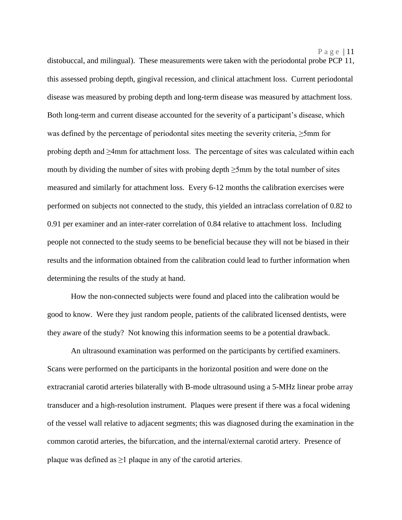distobuccal, and milingual). These measurements were taken with the periodontal probe PCP 11, this assessed probing depth, gingival recession, and clinical attachment loss. Current periodontal disease was measured by probing depth and long-term disease was measured by attachment loss. Both long-term and current disease accounted for the severity of a participant's disease, which was defined by the percentage of periodontal sites meeting the severity criteria, ≥5mm for probing depth and ≥4mm for attachment loss. The percentage of sites was calculated within each mouth by dividing the number of sites with probing depth ≥5mm by the total number of sites measured and similarly for attachment loss. Every 6-12 months the calibration exercises were performed on subjects not connected to the study, this yielded an intraclass correlation of 0.82 to 0.91 per examiner and an inter-rater correlation of 0.84 relative to attachment loss. Including people not connected to the study seems to be beneficial because they will not be biased in their results and the information obtained from the calibration could lead to further information when determining the results of the study at hand.

How the non-connected subjects were found and placed into the calibration would be good to know. Were they just random people, patients of the calibrated licensed dentists, were they aware of the study? Not knowing this information seems to be a potential drawback.

An ultrasound examination was performed on the participants by certified examiners. Scans were performed on the participants in the horizontal position and were done on the extracranial carotid arteries bilaterally with B-mode ultrasound using a 5-MHz linear probe array transducer and a high-resolution instrument. Plaques were present if there was a focal widening of the vessel wall relative to adjacent segments; this was diagnosed during the examination in the common carotid arteries, the bifurcation, and the internal/external carotid artery. Presence of plaque was defined as  $\geq 1$  plaque in any of the carotid arteries.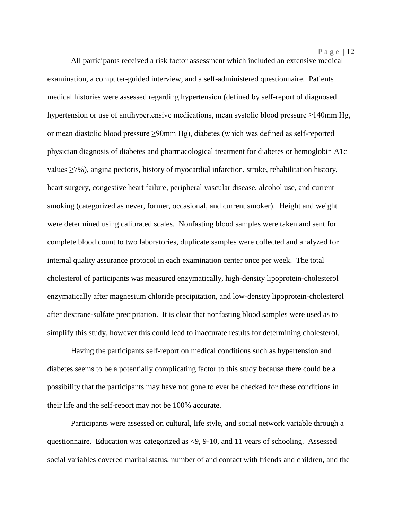All participants received a risk factor assessment which included an extensive medical examination, a computer-guided interview, and a self-administered questionnaire. Patients medical histories were assessed regarding hypertension (defined by self-report of diagnosed hypertension or use of antihypertensive medications, mean systolic blood pressure ≥140mm Hg, or mean diastolic blood pressure ≥90mm Hg), diabetes (which was defined as self-reported physician diagnosis of diabetes and pharmacological treatment for diabetes or hemoglobin A1c values ≥7%), angina pectoris, history of myocardial infarction, stroke, rehabilitation history, heart surgery, congestive heart failure, peripheral vascular disease, alcohol use, and current smoking (categorized as never, former, occasional, and current smoker). Height and weight were determined using calibrated scales. Nonfasting blood samples were taken and sent for complete blood count to two laboratories, duplicate samples were collected and analyzed for internal quality assurance protocol in each examination center once per week. The total cholesterol of participants was measured enzymatically, high-density lipoprotein-cholesterol enzymatically after magnesium chloride precipitation, and low-density lipoprotein-cholesterol after dextrane-sulfate precipitation. It is clear that nonfasting blood samples were used as to simplify this study, however this could lead to inaccurate results for determining cholesterol.

Having the participants self-report on medical conditions such as hypertension and diabetes seems to be a potentially complicating factor to this study because there could be a possibility that the participants may have not gone to ever be checked for these conditions in their life and the self-report may not be 100% accurate.

Participants were assessed on cultural, life style, and social network variable through a questionnaire. Education was categorized as <9, 9-10, and 11 years of schooling. Assessed social variables covered marital status, number of and contact with friends and children, and the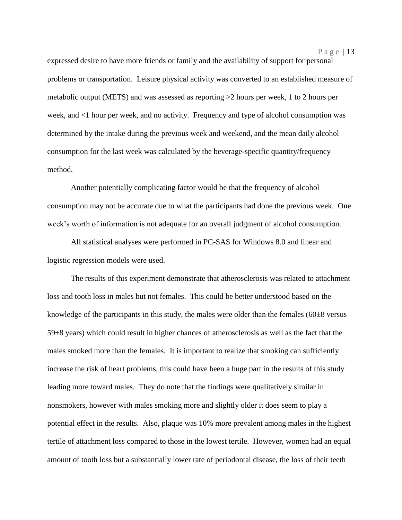expressed desire to have more friends or family and the availability of support for personal problems or transportation. Leisure physical activity was converted to an established measure of metabolic output (METS) and was assessed as reporting >2 hours per week, 1 to 2 hours per week, and <1 hour per week, and no activity. Frequency and type of alcohol consumption was determined by the intake during the previous week and weekend, and the mean daily alcohol consumption for the last week was calculated by the beverage-specific quantity/frequency method.

Another potentially complicating factor would be that the frequency of alcohol consumption may not be accurate due to what the participants had done the previous week. One week's worth of information is not adequate for an overall judgment of alcohol consumption.

All statistical analyses were performed in PC-SAS for Windows 8.0 and linear and logistic regression models were used.

The results of this experiment demonstrate that atherosclerosis was related to attachment loss and tooth loss in males but not females. This could be better understood based on the knowledge of the participants in this study, the males were older than the females  $(60\pm8$  versus 59±8 years) which could result in higher chances of atherosclerosis as well as the fact that the males smoked more than the females. It is important to realize that smoking can sufficiently increase the risk of heart problems, this could have been a huge part in the results of this study leading more toward males. They do note that the findings were qualitatively similar in nonsmokers, however with males smoking more and slightly older it does seem to play a potential effect in the results. Also, plaque was 10% more prevalent among males in the highest tertile of attachment loss compared to those in the lowest tertile. However, women had an equal amount of tooth loss but a substantially lower rate of periodontal disease, the loss of their teeth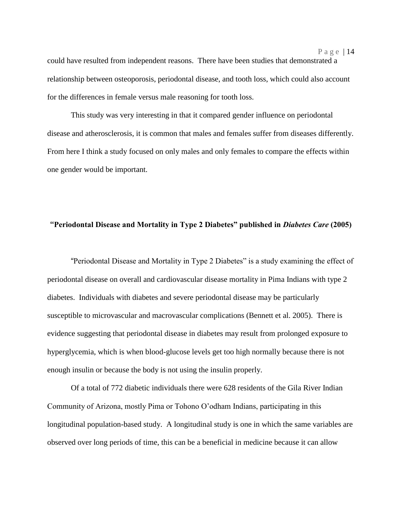could have resulted from independent reasons. There have been studies that demonstrated a relationship between osteoporosis, periodontal disease, and tooth loss, which could also account for the differences in female versus male reasoning for tooth loss.

This study was very interesting in that it compared gender influence on periodontal disease and atherosclerosis, it is common that males and females suffer from diseases differently. From here I think a study focused on only males and only females to compare the effects within one gender would be important.

### **"Periodontal Disease and Mortality in Type 2 Diabetes" published in** *Diabetes Care* **(2005)**

"Periodontal Disease and Mortality in Type 2 Diabetes" is a study examining the effect of periodontal disease on overall and cardiovascular disease mortality in Pima Indians with type 2 diabetes. Individuals with diabetes and severe periodontal disease may be particularly susceptible to microvascular and macrovascular complications (Bennett et al. 2005). There is evidence suggesting that periodontal disease in diabetes may result from prolonged exposure to hyperglycemia, which is when blood-glucose levels get too high normally because there is not enough insulin or because the body is not using the insulin properly.

Of a total of 772 diabetic individuals there were 628 residents of the Gila River Indian Community of Arizona, mostly Pima or Tohono O'odham Indians, participating in this longitudinal population-based study. A longitudinal study is one in which the same variables are observed over long periods of time, this can be a beneficial in medicine because it can allow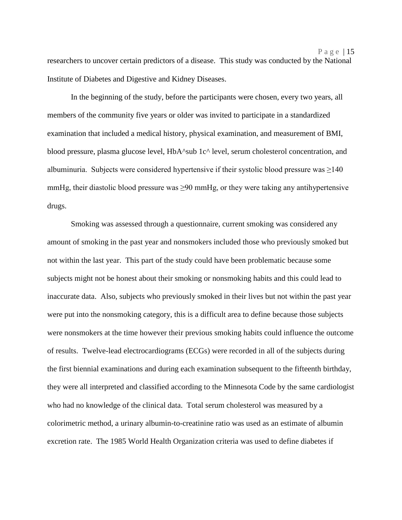researchers to uncover certain predictors of a disease.This study was conducted by the National Institute of Diabetes and Digestive and Kidney Diseases.

In the beginning of the study, before the participants were chosen, every two years, all members of the community five years or older was invited to participate in a standardized examination that included a medical history, physical examination, and measurement of BMI, blood pressure, plasma glucose level, HbA^sub 1c^ level, serum cholesterol concentration, and albuminuria. Subjects were considered hypertensive if their systolic blood pressure was  $\geq$ 140 mmHg, their diastolic blood pressure was  $\geq 90$  mmHg, or they were taking any antihypertensive drugs.

Smoking was assessed through a questionnaire, current smoking was considered any amount of smoking in the past year and nonsmokers included those who previously smoked but not within the last year. This part of the study could have been problematic because some subjects might not be honest about their smoking or nonsmoking habits and this could lead to inaccurate data. Also, subjects who previously smoked in their lives but not within the past year were put into the nonsmoking category, this is a difficult area to define because those subjects were nonsmokers at the time however their previous smoking habits could influence the outcome of results. Twelve-lead electrocardiograms (ECGs) were recorded in all of the subjects during the first biennial examinations and during each examination subsequent to the fifteenth birthday, they were all interpreted and classified according to the Minnesota Code by the same cardiologist who had no knowledge of the clinical data. Total serum cholesterol was measured by a colorimetric method, a urinary albumin-to-creatinine ratio was used as an estimate of albumin excretion rate. The 1985 World Health Organization criteria was used to define diabetes if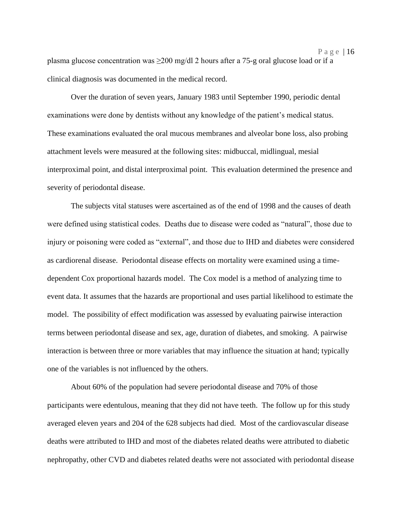plasma glucose concentration was  $\geq 200$  mg/dl 2 hours after a 75-g oral glucose load or if a clinical diagnosis was documented in the medical record.

P a g e | 16

Over the duration of seven years, January 1983 until September 1990, periodic dental examinations were done by dentists without any knowledge of the patient's medical status. These examinations evaluated the oral mucous membranes and alveolar bone loss, also probing attachment levels were measured at the following sites: midbuccal, midlingual, mesial interproximal point, and distal interproximal point. This evaluation determined the presence and severity of periodontal disease.

The subjects vital statuses were ascertained as of the end of 1998 and the causes of death were defined using statistical codes. Deaths due to disease were coded as "natural", those due to injury or poisoning were coded as "external", and those due to IHD and diabetes were considered as cardiorenal disease. Periodontal disease effects on mortality were examined using a timedependent Cox proportional hazards model. The Cox model is a method of analyzing time to event data. It assumes that the hazards are proportional and uses partial likelihood to estimate the model. The possibility of effect modification was assessed by evaluating pairwise interaction terms between periodontal disease and sex, age, duration of diabetes, and smoking. A pairwise interaction is between three or more variables that may influence the situation at hand; typically one of the variables is not influenced by the others.

About 60% of the population had severe periodontal disease and 70% of those participants were edentulous, meaning that they did not have teeth. The follow up for this study averaged eleven years and 204 of the 628 subjects had died. Most of the cardiovascular disease deaths were attributed to IHD and most of the diabetes related deaths were attributed to diabetic nephropathy, other CVD and diabetes related deaths were not associated with periodontal disease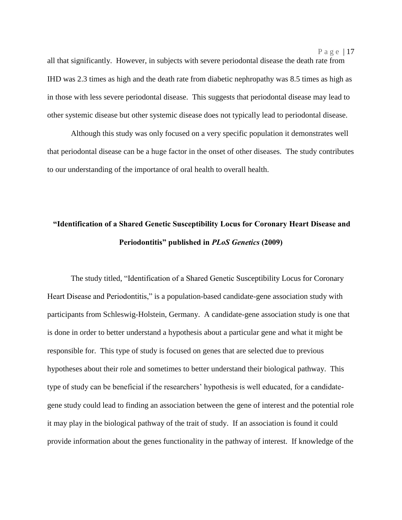all that significantly. However, in subjects with severe periodontal disease the death rate from IHD was 2.3 times as high and the death rate from diabetic nephropathy was 8.5 times as high as in those with less severe periodontal disease. This suggests that periodontal disease may lead to other systemic disease but other systemic disease does not typically lead to periodontal disease.

Although this study was only focused on a very specific population it demonstrates well that periodontal disease can be a huge factor in the onset of other diseases. The study contributes to our understanding of the importance of oral health to overall health.

### **"Identification of a Shared Genetic Susceptibility Locus for Coronary Heart Disease and Periodontitis" published in** *PLoS Genetics* **(2009)**

The study titled, "Identification of a Shared Genetic Susceptibility Locus for Coronary Heart Disease and Periodontitis," is a population-based candidate-gene association study with participants from Schleswig-Holstein, Germany. A candidate-gene association study is one that is done in order to better understand a hypothesis about a particular gene and what it might be responsible for. This type of study is focused on genes that are selected due to previous hypotheses about their role and sometimes to better understand their biological pathway. This type of study can be beneficial if the researchers' hypothesis is well educated, for a candidategene study could lead to finding an association between the gene of interest and the potential role it may play in the biological pathway of the trait of study. If an association is found it could provide information about the genes functionality in the pathway of interest. If knowledge of the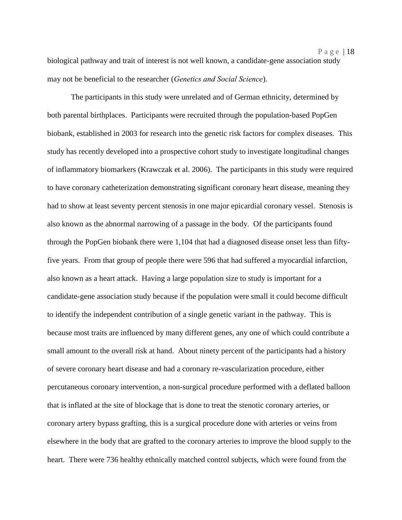biological pathway and trait of interest is not well known, a candidate-gene association study may not be beneficial to the researcher (*Genetics and Social Science*).

The participants in this study were unrelated and of German ethnicity, determined by both parental birthplaces. Participants were recruited through the population-based PopGen biobank, established in 2003 for research into the genetic risk factors for complex diseases. This study has recently developed into a prospective cohort study to investigate longitudinal changes of inflammatory biomarkers (Krawczak et al. 2006). The participants in this study were required to have coronary catheterization demonstrating significant coronary heart disease, meaning they had to show at least seventy percent stenosis in one major epicardial coronary vessel. Stenosis is also known as the abnormal narrowing of a passage in the body. Of the participants found through the PopGen biobank there were 1,104 that had a diagnosed disease onset less than fiftyfive years. From that group of people there were 596 that had suffered a myocardial infarction, also known as a heart attack. Having a large population size to study is important for a candidate-gene association study because if the population were small it could become difficult to identify the independent contribution of a single genetic variant in the pathway. This is because most traits are influenced by many different genes, any one of which could contribute a small amount to the overall risk at hand. About ninety percent of the participants had a history of severe coronary heart disease and had a coronary re-vascularization procedure, either percutaneous coronary intervention, a non-surgical procedure performed with a deflated balloon that is inflated at the site of blockage that is done to treat the stenotic coronary arteries, or coronary artery bypass grafting, this is a surgical procedure done with arteries or veins from elsewhere in the body that are grafted to the coronary arteries to improve the blood supply to the heart. There were 736 healthy ethnically matched control subjects, which were found from the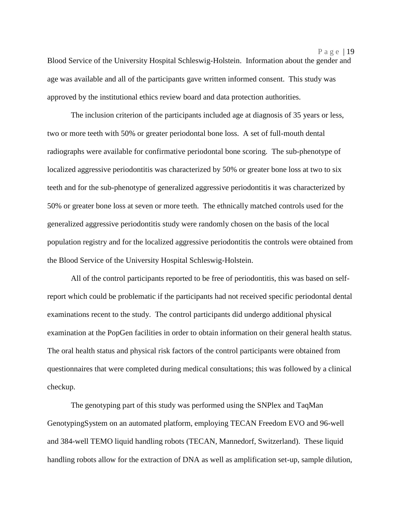Blood Service of the University Hospital Schleswig-Holstein. Information about the gender and age was available and all of the participants gave written informed consent. This study was approved by the institutional ethics review board and data protection authorities.

The inclusion criterion of the participants included age at diagnosis of 35 years or less, two or more teeth with 50% or greater periodontal bone loss. A set of full-mouth dental radiographs were available for confirmative periodontal bone scoring. The sub-phenotype of localized aggressive periodontitis was characterized by 50% or greater bone loss at two to six teeth and for the sub-phenotype of generalized aggressive periodontitis it was characterized by 50% or greater bone loss at seven or more teeth. The ethnically matched controls used for the generalized aggressive periodontitis study were randomly chosen on the basis of the local population registry and for the localized aggressive periodontitis the controls were obtained from the Blood Service of the University Hospital Schleswig-Holstein.

All of the control participants reported to be free of periodontitis, this was based on selfreport which could be problematic if the participants had not received specific periodontal dental examinations recent to the study. The control participants did undergo additional physical examination at the PopGen facilities in order to obtain information on their general health status. The oral health status and physical risk factors of the control participants were obtained from questionnaires that were completed during medical consultations; this was followed by a clinical checkup.

The genotyping part of this study was performed using the SNPlex and TaqMan GenotypingSystem on an automated platform, employing TECAN Freedom EVO and 96-well and 384-well TEMO liquid handling robots (TECAN, Mannedorf, Switzerland). These liquid handling robots allow for the extraction of DNA as well as amplification set-up, sample dilution,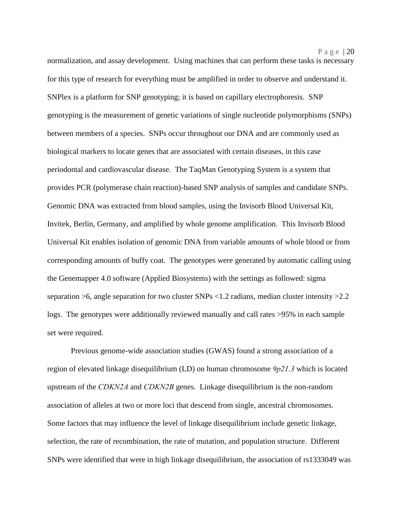normalization, and assay development. Using machines that can perform these tasks is necessary for this type of research for everything must be amplified in order to observe and understand it. SNPlex is a platform for SNP genotyping; it is based on capillary electrophoresis. SNP genotyping is the measurement of genetic variations of single nucleotide polymorphisms (SNPs) between members of a species. SNPs occur throughout our DNA and are commonly used as biological markers to locate genes that are associated with certain diseases, in this case periodontal and cardiovascular disease. The TaqMan Genotyping System is a system that provides PCR (polymerase chain reaction)-based SNP analysis of samples and candidate SNPs. Genomic DNA was extracted from blood samples, using the Invisorb Blood Universal Kit, Invitek, Berlin, Germany, and amplified by whole genome amplification. This Invisorb Blood Universal Kit enables isolation of genomic DNA from variable amounts of whole blood or from corresponding amounts of buffy coat. The genotypes were generated by automatic calling using the Genemapper 4.0 software (Applied Biosystems) with the settings as followed: sigma separation >6, angle separation for two cluster SNPs <1.2 radians, median cluster intensity >2.2 logs. The genotypes were additionally reviewed manually and call rates >95% in each sample set were required.

P a g e | 20

Previous genome-wide association studies (GWAS) found a strong association of a region of elevated linkage disequilibrium (LD) on human chromosome *9p21.3* which is located upstream of the *CDKN2A* and *CDKN2B* genes. Linkage disequilibrium is the non-random association of alleles at two or more loci that descend from single, ancestral chromosomes. Some factors that may influence the level of linkage disequilibrium include genetic linkage, selection, the rate of recombination, the rate of mutation, and population structure. Different SNPs were identified that were in high linkage disequilibrium, the association of rs1333049 was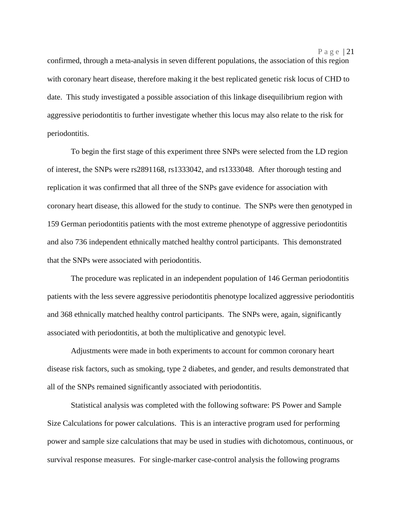confirmed, through a meta-analysis in seven different populations, the association of this region with coronary heart disease, therefore making it the best replicated genetic risk locus of CHD to date. This study investigated a possible association of this linkage disequilibrium region with aggressive periodontitis to further investigate whether this locus may also relate to the risk for periodontitis.

To begin the first stage of this experiment three SNPs were selected from the LD region of interest, the SNPs were rs2891168, rs1333042, and rs1333048. After thorough testing and replication it was confirmed that all three of the SNPs gave evidence for association with coronary heart disease, this allowed for the study to continue. The SNPs were then genotyped in 159 German periodontitis patients with the most extreme phenotype of aggressive periodontitis and also 736 independent ethnically matched healthy control participants. This demonstrated that the SNPs were associated with periodontitis.

The procedure was replicated in an independent population of 146 German periodontitis patients with the less severe aggressive periodontitis phenotype localized aggressive periodontitis and 368 ethnically matched healthy control participants. The SNPs were, again, significantly associated with periodontitis, at both the multiplicative and genotypic level.

Adjustments were made in both experiments to account for common coronary heart disease risk factors, such as smoking, type 2 diabetes, and gender, and results demonstrated that all of the SNPs remained significantly associated with periodontitis.

Statistical analysis was completed with the following software: PS Power and Sample Size Calculations for power calculations. This is an interactive program used for performing power and sample size calculations that may be used in studies with dichotomous, continuous, or survival response measures. For single-marker case-control analysis the following programs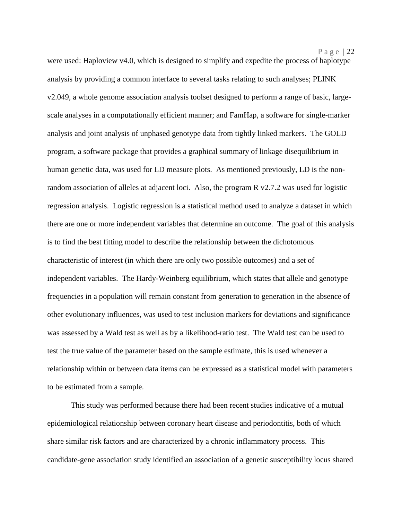were used: Haploview v4.0, which is designed to simplify and expedite the process of haplotype analysis by providing a common interface to several tasks relating to such analyses; PLINK v2.049, a whole genome association analysis toolset designed to perform a range of basic, largescale analyses in a computationally efficient manner; and FamHap, a software for single-marker analysis and joint analysis of unphased genotype data from tightly linked markers. The GOLD program, a software package that provides a graphical summary of linkage disequilibrium in human genetic data, was used for LD measure plots. As mentioned previously, LD is the nonrandom association of alleles at adjacent loci. Also, the program R v2.7.2 was used for logistic regression analysis. Logistic regression is a statistical method used to analyze a dataset in which there are one or more independent variables that determine an outcome. The goal of this analysis is to find the best fitting model to describe the relationship between the dichotomous characteristic of interest (in which there are only two possible outcomes) and a set of independent variables. The Hardy-Weinberg equilibrium, which states that allele and genotype frequencies in a population will remain constant from generation to generation in the absence of other evolutionary influences, was used to test inclusion markers for deviations and significance was assessed by a Wald test as well as by a likelihood-ratio test. The Wald test can be used to test the true value of the parameter based on the sample estimate, this is used whenever a relationship within or between data items can be expressed as a statistical model with parameters to be estimated from a sample.

This study was performed because there had been recent studies indicative of a mutual epidemiological relationship between coronary heart disease and periodontitis, both of which share similar risk factors and are characterized by a chronic inflammatory process. This candidate-gene association study identified an association of a genetic susceptibility locus shared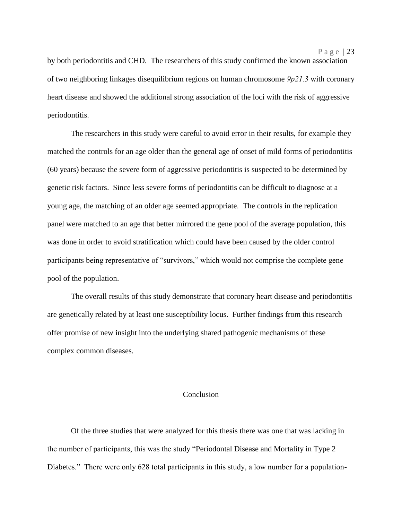by both periodontitis and CHD. The researchers of this study confirmed the known association of two neighboring linkages disequilibrium regions on human chromosome *9p21.3* with coronary heart disease and showed the additional strong association of the loci with the risk of aggressive periodontitis.

The researchers in this study were careful to avoid error in their results, for example they matched the controls for an age older than the general age of onset of mild forms of periodontitis (60 years) because the severe form of aggressive periodontitis is suspected to be determined by genetic risk factors. Since less severe forms of periodontitis can be difficult to diagnose at a young age, the matching of an older age seemed appropriate. The controls in the replication panel were matched to an age that better mirrored the gene pool of the average population, this was done in order to avoid stratification which could have been caused by the older control participants being representative of "survivors," which would not comprise the complete gene pool of the population.

The overall results of this study demonstrate that coronary heart disease and periodontitis are genetically related by at least one susceptibility locus. Further findings from this research offer promise of new insight into the underlying shared pathogenic mechanisms of these complex common diseases.

### Conclusion

Of the three studies that were analyzed for this thesis there was one that was lacking in the number of participants, this was the study "Periodontal Disease and Mortality in Type 2 Diabetes." There were only 628 total participants in this study, a low number for a population-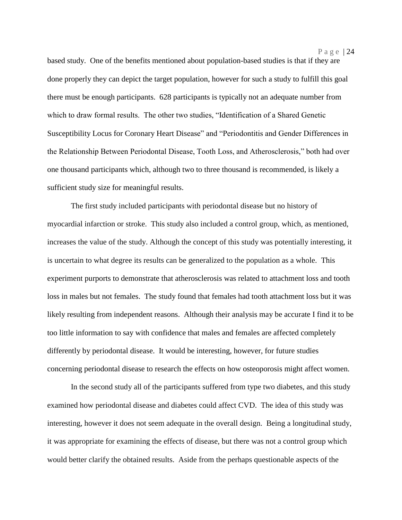based study. One of the benefits mentioned about population-based studies is that if they are done properly they can depict the target population, however for such a study to fulfill this goal there must be enough participants. 628 participants is typically not an adequate number from which to draw formal results. The other two studies, "Identification of a Shared Genetic Susceptibility Locus for Coronary Heart Disease" and "Periodontitis and Gender Differences in the Relationship Between Periodontal Disease, Tooth Loss, and Atherosclerosis," both had over one thousand participants which, although two to three thousand is recommended, is likely a sufficient study size for meaningful results.

The first study included participants with periodontal disease but no history of myocardial infarction or stroke. This study also included a control group, which, as mentioned, increases the value of the study. Although the concept of this study was potentially interesting, it is uncertain to what degree its results can be generalized to the population as a whole. This experiment purports to demonstrate that atherosclerosis was related to attachment loss and tooth loss in males but not females. The study found that females had tooth attachment loss but it was likely resulting from independent reasons. Although their analysis may be accurate I find it to be too little information to say with confidence that males and females are affected completely differently by periodontal disease. It would be interesting, however, for future studies concerning periodontal disease to research the effects on how osteoporosis might affect women.

In the second study all of the participants suffered from type two diabetes, and this study examined how periodontal disease and diabetes could affect CVD. The idea of this study was interesting, however it does not seem adequate in the overall design. Being a longitudinal study, it was appropriate for examining the effects of disease, but there was not a control group which would better clarify the obtained results. Aside from the perhaps questionable aspects of the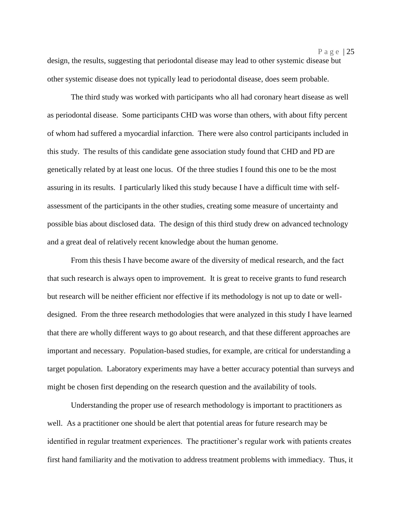design, the results, suggesting that periodontal disease may lead to other systemic disease but other systemic disease does not typically lead to periodontal disease, does seem probable.

The third study was worked with participants who all had coronary heart disease as well as periodontal disease. Some participants CHD was worse than others, with about fifty percent of whom had suffered a myocardial infarction. There were also control participants included in this study. The results of this candidate gene association study found that CHD and PD are genetically related by at least one locus. Of the three studies I found this one to be the most assuring in its results. I particularly liked this study because I have a difficult time with selfassessment of the participants in the other studies, creating some measure of uncertainty and possible bias about disclosed data. The design of this third study drew on advanced technology and a great deal of relatively recent knowledge about the human genome.

From this thesis I have become aware of the diversity of medical research, and the fact that such research is always open to improvement. It is great to receive grants to fund research but research will be neither efficient nor effective if its methodology is not up to date or welldesigned. From the three research methodologies that were analyzed in this study I have learned that there are wholly different ways to go about research, and that these different approaches are important and necessary. Population-based studies, for example, are critical for understanding a target population. Laboratory experiments may have a better accuracy potential than surveys and might be chosen first depending on the research question and the availability of tools.

Understanding the proper use of research methodology is important to practitioners as well. As a practitioner one should be alert that potential areas for future research may be identified in regular treatment experiences. The practitioner's regular work with patients creates first hand familiarity and the motivation to address treatment problems with immediacy. Thus, it

P a g e | 25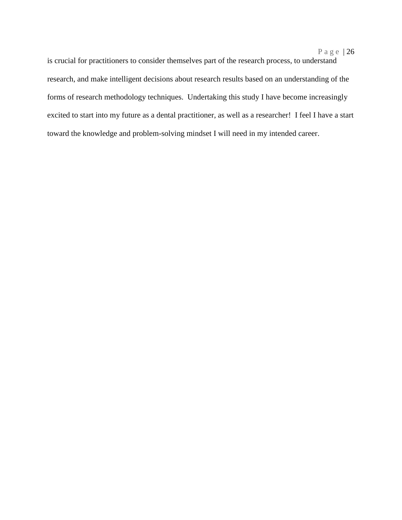is crucial for practitioners to consider themselves part of the research process, to understand research, and make intelligent decisions about research results based on an understanding of the forms of research methodology techniques. Undertaking this study I have become increasingly excited to start into my future as a dental practitioner, as well as a researcher! I feel I have a start toward the knowledge and problem-solving mindset I will need in my intended career.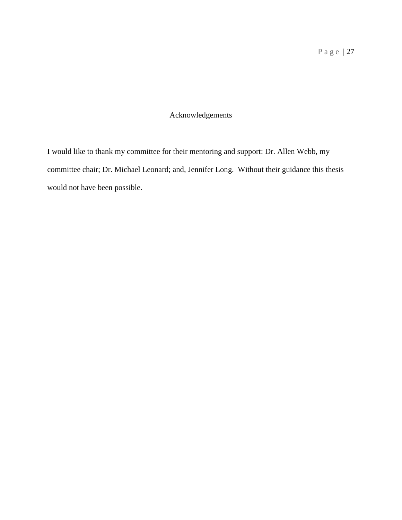### Acknowledgements

I would like to thank my committee for their mentoring and support: Dr. Allen Webb, my committee chair; Dr. Michael Leonard; and, Jennifer Long. Without their guidance this thesis would not have been possible.